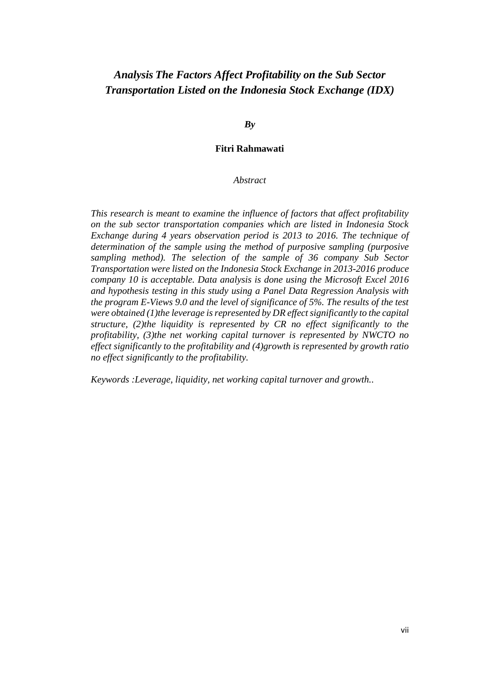# *Analysis The Factors Affect Profitability on the Sub Sector Transportation Listed on the Indonesia Stock Exchange (IDX)*

*By*

### **Fitri Rahmawati**

### *Abstract*

*This research is meant to examine the influence of factors that affect profitability on the sub sector transportation companies which are listed in Indonesia Stock Exchange during 4 years observation period is 2013 to 2016. The technique of determination of the sample using the method of purposive sampling (purposive sampling method). The selection of the sample of 36 company Sub Sector Transportation were listed on the Indonesia Stock Exchange in 2013-2016 produce company 10 is acceptable. Data analysis is done using the Microsoft Excel 2016 and hypothesis testing in this study using a Panel Data Regression Analysis with the program E-Views 9.0 and the level of significance of 5%. The results of the test were obtained (1)the leverage is represented by DR effect significantly to the capital structure, (2)the liquidity is represented by CR no effect significantly to the profitability, (3)the net working capital turnover is represented by NWCTO no effect significantly to the profitability and (4)growth is represented by growth ratio no effect significantly to the profitability.*

*Keywords :Leverage, liquidity, net working capital turnover and growth..*